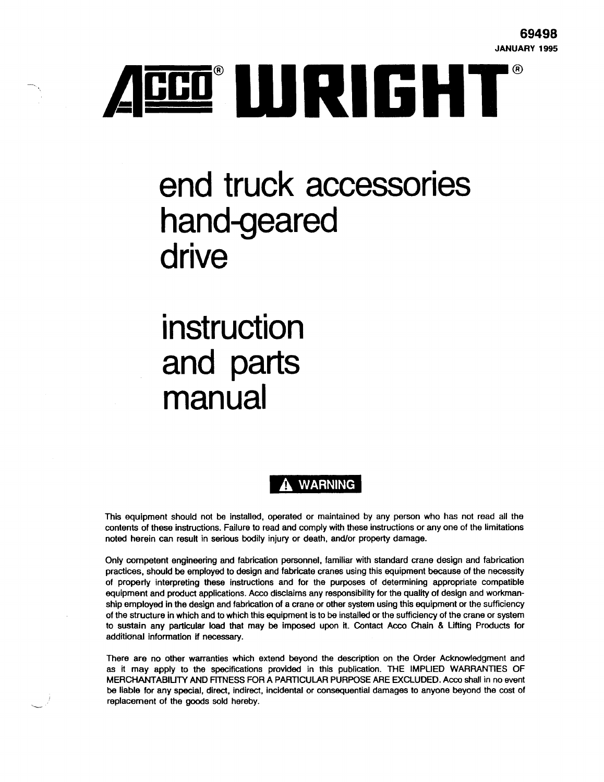

# **end truck accessories hand-geared drive**

# **instruction and parts manual**

··-

# **A WARNING**

This equipment should not be installed, operated or maintained by any person who has not read all the contents of these instructions. Failure to read and comply with these instructions or any one of the limitations noted herein can result in serious bodily injury or death, and/or property damage.

Only competent engineering and fabrication personnel, familiar with standard crane design and fabrication practices, should be employed to design and fabricate cranes using this equipment because of the necessity of property interpreting these instructions and for the purposes of determining appropriate compatible equipment and product applications. Acco disclaims any responsibility for the quality of design and workmanship employed in the design and fabrication of a crane or other system using this equipment or the sufficiency of the structure in which and to which this equipment Is to be installed or the sufficiency of the crane or system to sustain any particular load that may be imposed upon it. Contact Acco Chain & Lifting Products for additional information if necessary.

There are no other warranties which extend beyond the description on the Order Acknowledgment and as it may apply to the specifications provided in this publication. THE IMPUED WARRANTIES OF MERCHANTABIUTY AND RTNESS FOR A PARTICULAR PURPOSE ARE EXCLUDED. Acco shall in no event be liable for any special, direct, indirect, Incidental or consequential damages to anyone beyond the cost of replacement of the goods sold hereby.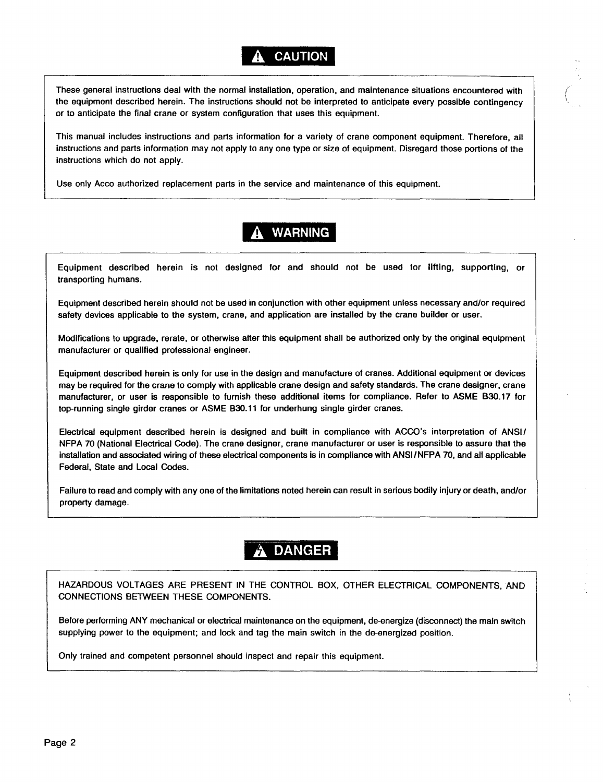## **A CAUTION**

These general instructions deal with the normal installation, operation, and maintenance situations encountered with the equipment described herein. The instructions should not be interpreted to anticipate every possible contingency or to anticipate the final crane or system configuration that uses this equipment.

*(*  ' '

This manual includes instructions and parts information for a variety of crane component equipment. Therefore, all instructions and parts information may not apply to any one type or size of equipment. Disregard those portions of the instructions which do not apply.

Use only Acco authorized replacement parts in the service and maintenance of this equipment.

# **WARNING**

Equipment described herein is not designed for and should not be used for lifting, supporting, or transporting humans.

Equipment described herein should not be used in conjunction with other equipment unless necessary and/or required safety devices applicable to the system, crane, and application are installed by the crane builder or user.

Modifications to upgrade, rerate, or otherwise alter this equipment shall be authorized only by the original equipment manufacturer or qualified professional engineer.

Equipment described herein is only for use in the design and manufacture of cranes. Additional equipment or devices may be required for the crane to comply with applicable crane design and safety standards. The crane designer, crane manufacturer, or user is responsible to furnish these additional items for compliance. Refer to ASME 830.17 for top-running single girder cranes or ASME 830.11 for underhung single girder cranes.

Electrical equipment described herein is designed and built in compliance with ACCO's interpretation of ANSI/ NFPA 70 (National Electrical Code). The crane designer, crane manufacturer or user is responsible to assure that the installation and associated wiring of these electrical components is in compliance with ANSI/NFPA 70, and all applicable Federal, State and Local Codes.

Failure to read and comply with any one of the limitations noted herein can result in serious bodily injury or death, and/or property damage.

# **DANGER**

HAZARDOUS VOLTAGES ARE PRESENT IN THE CONTROL BOX, OTHER ELECTRICAL COMPONENTS, AND CONNECTIONS BETWEEN THESE COMPONENTS.

Before performing ANY mechanical or electrical maintenance on the equipment, de-energize (disconnect) the main switch supplying power to the equipment; and lock and tag the main switch in the de-energized position.

Only trained and competent personnel should inspect and repair this equipment.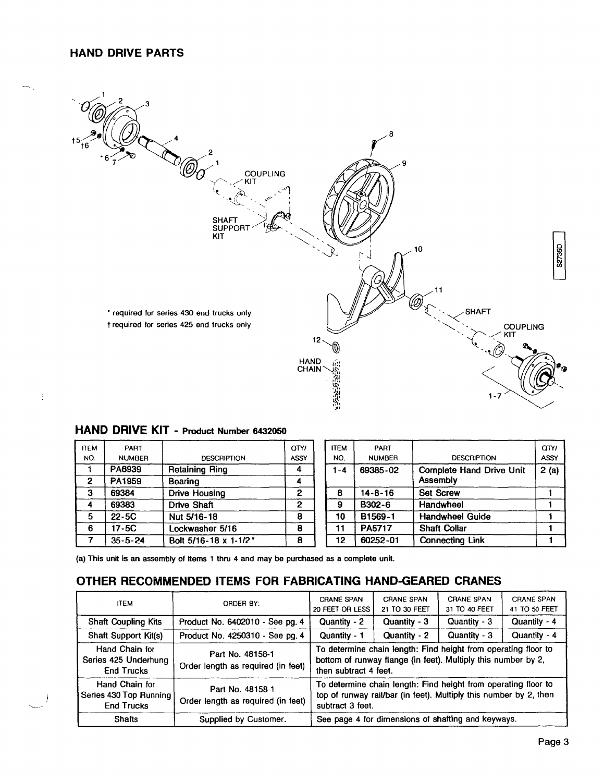#### HAND DRIVE PARTS



## HAND DRIVE KIT - Product Number 6432050

| <b>ITEM</b> | PART          |                       | <b>OTYI</b> | <b>ITEM</b> | PART          |                                 | OTY/ |
|-------------|---------------|-----------------------|-------------|-------------|---------------|---------------------------------|------|
| NO.         | <b>NUMBER</b> | <b>DESCRIPTION</b>    | <b>ASSY</b> | NO.         | <b>NUMBER</b> | <b>DESCRIPTION</b>              | ASSY |
|             | PA6939        | <b>Retaining Ring</b> |             | $1 - 4$     | 69385-02      | <b>Complete Hand Drive Unit</b> | 2(a) |
| 2           | PA1959        | <b>Bearing</b>        |             |             |               | Assembly                        |      |
| з           | 69384         | Drive Housing         | 2           | 8           | $14 - 8 - 16$ | <b>Set Screw</b>                |      |
|             | 69383         | <b>Drive Shaft</b>    | 2           | 9           | B302-6        | Handwheel                       |      |
| 5           | $22-5C$       | Nut 5/16-18           | 8           | 10          | B1569-1       | <b>Handwheel Guide</b>          |      |
| 6           | $17-5C$       | Lockwasher 5/16       | 8           | 11          | PA5717        | <b>Shaft Collar</b>             |      |
|             | $35 - 5 - 24$ | Bolt 5/16-18 x 1-1/2" | 8           | 12          | 60252-01      | <b>Connecting Link</b>          |      |

(a) This unit is an assembly of items 1 thru 4 and may be purchased as a complete unit.

## OTHER RECOMMENDED ITEMS FOR FABRICATING HAND-GEARED CRANES

| <b>ITEM</b>                                                   | ORDER BY:                                              | <b>CRANE SPAN</b><br>20 FEET OR LESS                                                                                                                     | <b>CRANE SPAN</b><br>21 TO 30 FEET | <b>CRANE SPAN</b><br>31 TO 40 FEET | <b>CRANE SPAN</b><br>41 TO 50 FEET |  |  |
|---------------------------------------------------------------|--------------------------------------------------------|----------------------------------------------------------------------------------------------------------------------------------------------------------|------------------------------------|------------------------------------|------------------------------------|--|--|
| <b>Shaft Coupling Kits</b>                                    | Product No. 6402010 - See pg. 4                        | Quantity - 2                                                                                                                                             | Quantity - 3                       | Quantity - 3                       | Quantity - 4                       |  |  |
| Shaft Support Kit(s)                                          | Product No. 4250310 - See pg. 4                        | Quantity - 1                                                                                                                                             | Quantity - 2                       | Quantity - 3                       | Quantity - 4                       |  |  |
| Hand Chain for<br>Series 425 Underhung<br><b>End Trucks</b>   | Part No. 48158-1<br>Order length as required (in feet) | To determine chain length: Find height from operating floor to<br>bottom of runway flange (in feet). Multiply this number by 2,<br>then subtract 4 feet. |                                    |                                    |                                    |  |  |
| Hand Chain for<br>Series 430 Top Running<br><b>End Trucks</b> | Part No. 48158-1<br>Order length as required (in feet) | To determine chain length: Find height from operating floor to<br>top of runway rail/bar (in feet). Multiply this number by 2, then<br>subtract 3 feet.  |                                    |                                    |                                    |  |  |
| <b>Shafts</b>                                                 | Supplied by Customer.                                  | See page 4 for dimensions of shafting and keyways.                                                                                                       |                                    |                                    |                                    |  |  |